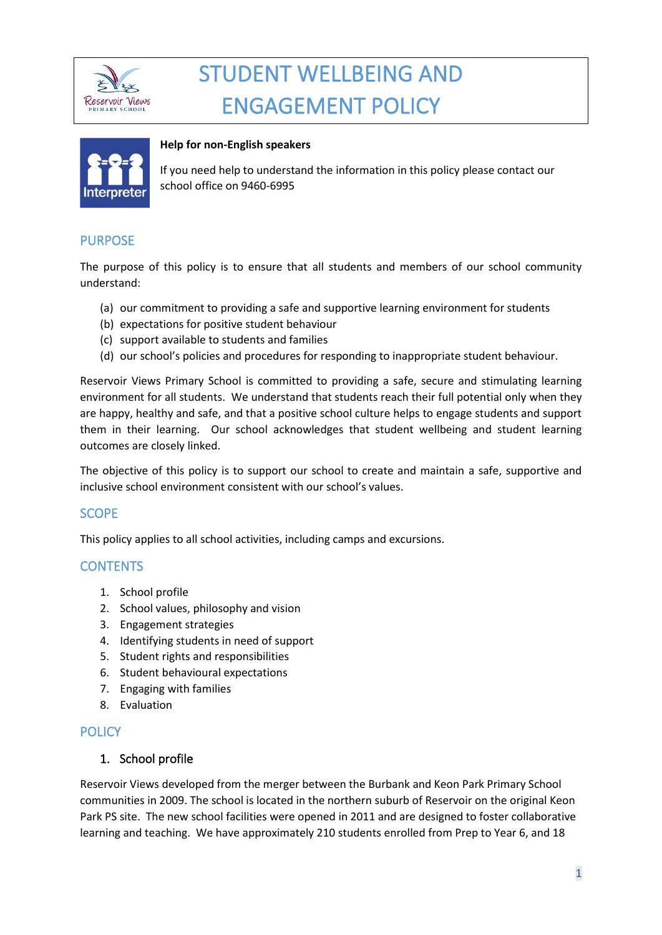

# STUDENT WELLBEING AND ENGAGEMENT POLICY



#### **Help for non-English speakers**

If you need help to understand the information in this policy please contact our school office on 9460-6995

## PURPOSE

The purpose of this policy is to ensure that all students and members of our school community understand:

- (a) our commitment to providing a safe and supportive learning environment for students
- (b) expectations for positive student behaviour
- (c) support available to students and families
- (d) our school's policies and procedures for responding to inappropriate student behaviour.

Reservoir Views Primary School is committed to providing a safe, secure and stimulating learning environment for all students. We understand that students reach their full potential only when they are happy, healthy and safe, and that a positive school culture helps to engage students and support them in their learning. Our school acknowledges that student wellbeing and student learning outcomes are closely linked.

The objective of this policy is to support our school to create and maintain a safe, supportive and inclusive school environment consistent with our school's values.

## SCOPE

This policy applies to all school activities, including camps and excursions.

#### **CONTENTS**

- 1. School profile
- 2. School values, philosophy and vision
- 3. Engagement strategies
- 4. Identifying students in need of support
- 5. Student rights and responsibilities
- 6. Student behavioural expectations
- 7. Engaging with families
- 8. Evaluation

#### **POLICY**

#### 1. School profile

Reservoir Views developed from the merger between the Burbank and Keon Park Primary School communities in 2009. The school is located in the northern suburb of Reservoir on the original Keon Park PS site. The new school facilities were opened in 2011 and are designed to foster collaborative learning and teaching. We have approximately 210 students enrolled from Prep to Year 6, and 18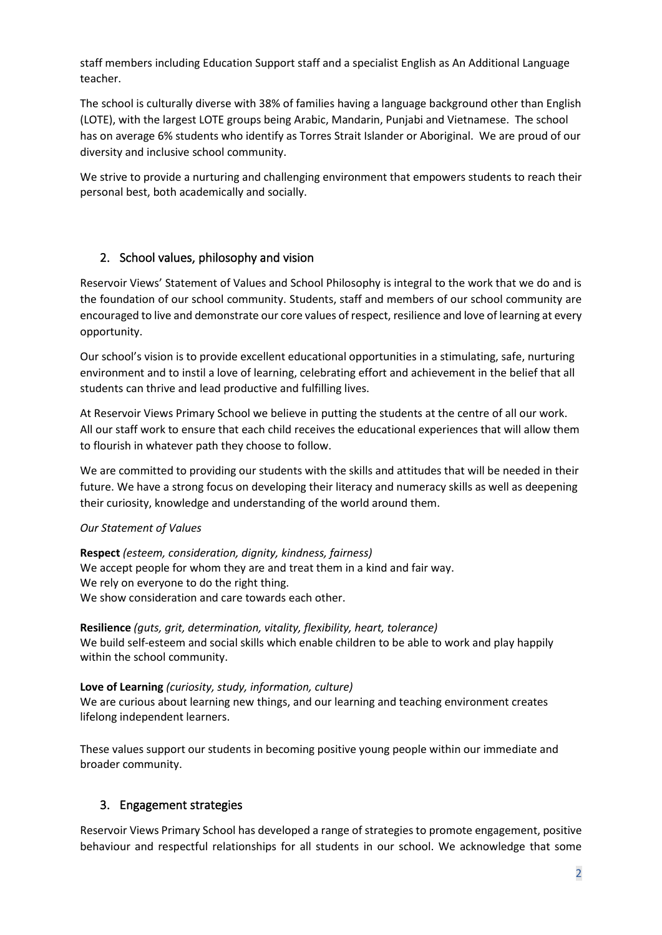staff members including Education Support staff and a specialist English as An Additional Language teacher.

The school is culturally diverse with 38% of families having a language background other than English (LOTE), with the largest LOTE groups being Arabic, Mandarin, Punjabi and Vietnamese. The school has on average 6% students who identify as Torres Strait Islander or Aboriginal. We are proud of our diversity and inclusive school community.

We strive to provide a nurturing and challenging environment that empowers students to reach their personal best, both academically and socially.

## 2. School values, philosophy and vision

Reservoir Views' Statement of Values and School Philosophy is integral to the work that we do and is the foundation of our school community. Students, staff and members of our school community are encouraged to live and demonstrate our core values of respect, resilience and love of learning at every opportunity.

Our school's vision is to provide excellent educational opportunities in a stimulating, safe, nurturing environment and to instil a love of learning, celebrating effort and achievement in the belief that all students can thrive and lead productive and fulfilling lives.

At Reservoir Views Primary School we believe in putting the students at the centre of all our work. All our staff work to ensure that each child receives the educational experiences that will allow them to flourish in whatever path they choose to follow.

We are committed to providing our students with the skills and attitudes that will be needed in their future. We have a strong focus on developing their literacy and numeracy skills as well as deepening their curiosity, knowledge and understanding of the world around them.

## *Our Statement of Values*

**Respect** *(esteem, consideration, dignity, kindness, fairness)* We accept people for whom they are and treat them in a kind and fair way. We rely on everyone to do the right thing. We show consideration and care towards each other.

**Resilience** *(guts, grit, determination, vitality, flexibility, heart, tolerance)* We build self-esteem and social skills which enable children to be able to work and play happily within the school community.

**Love of Learning** *(curiosity, study, information, culture)* We are curious about learning new things, and our learning and teaching environment creates lifelong independent learners.

These values support our students in becoming positive young people within our immediate and broader community.

## 3. Engagement strategies

Reservoir Views Primary School has developed a range of strategies to promote engagement, positive behaviour and respectful relationships for all students in our school. We acknowledge that some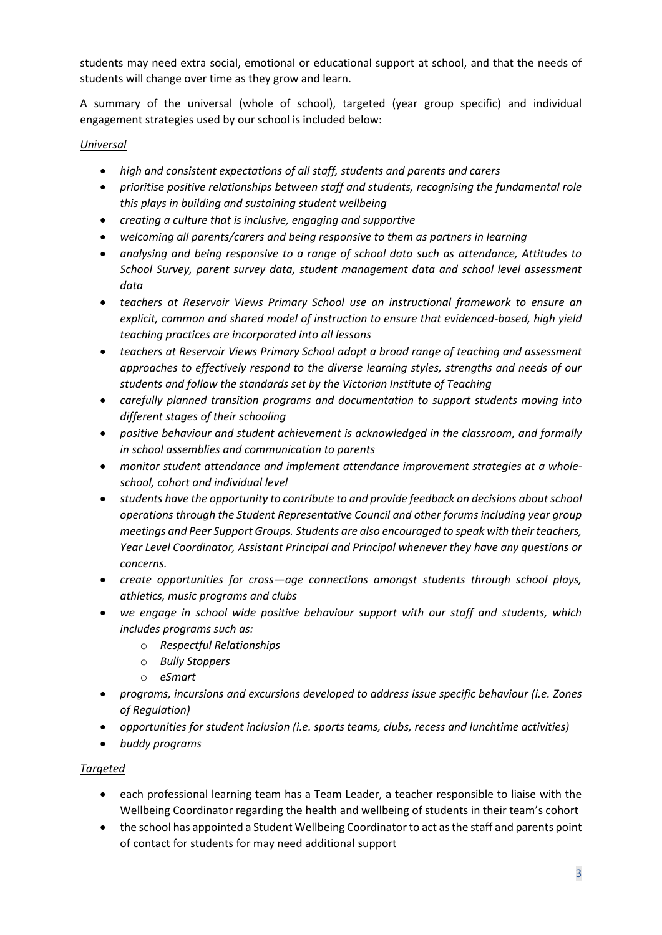students may need extra social, emotional or educational support at school, and that the needs of students will change over time as they grow and learn.

A summary of the universal (whole of school), targeted (year group specific) and individual engagement strategies used by our school is included below:

#### *Universal*

- *high and consistent expectations of all staff, students and parents and carers*
- *prioritise positive relationships between staff and students, recognising the fundamental role this plays in building and sustaining student wellbeing*
- *creating a culture that is inclusive, engaging and supportive*
- *welcoming all parents/carers and being responsive to them as partners in learning*
- *analysing and being responsive to a range of school data such as attendance, Attitudes to School Survey, parent survey data, student management data and school level assessment data*
- *teachers at Reservoir Views Primary School use an instructional framework to ensure an explicit, common and shared model of instruction to ensure that evidenced-based, high yield teaching practices are incorporated into all lessons*
- *teachers at Reservoir Views Primary School adopt a broad range of teaching and assessment approaches to effectively respond to the diverse learning styles, strengths and needs of our students and follow the standards set by the Victorian Institute of Teaching*
- *carefully planned transition programs and documentation to support students moving into different stages of their schooling*
- *positive behaviour and student achievement is acknowledged in the classroom, and formally in school assemblies and communication to parents*
- *monitor student attendance and implement attendance improvement strategies at a wholeschool, cohort and individual level*
- *students have the opportunity to contribute to and provide feedback on decisions aboutschool operations through the Student Representative Council and other forums including year group meetings and Peer Support Groups. Students are also encouraged to speak with their teachers, Year Level Coordinator, Assistant Principal and Principal whenever they have any questions or concerns.*
- *create opportunities for cross—age connections amongst students through school plays, athletics, music programs and clubs*
- *we engage in school wide positive behaviour support with our staff and students, which includes programs such as:*
	- o *Respectful Relationships*
	- o *Bully Stoppers*
	- o *eSmart*
- *programs, incursions and excursions developed to address issue specific behaviour (i.e. Zones of Regulation)*
- *opportunities for student inclusion (i.e. sports teams, clubs, recess and lunchtime activities)*
- *buddy programs*

## *Targeted*

- each professional learning team has a Team Leader, a teacher responsible to liaise with the Wellbeing Coordinator regarding the health and wellbeing of students in their team's cohort
- the school has appointed a Student Wellbeing Coordinator to act as the staff and parents point of contact for students for may need additional support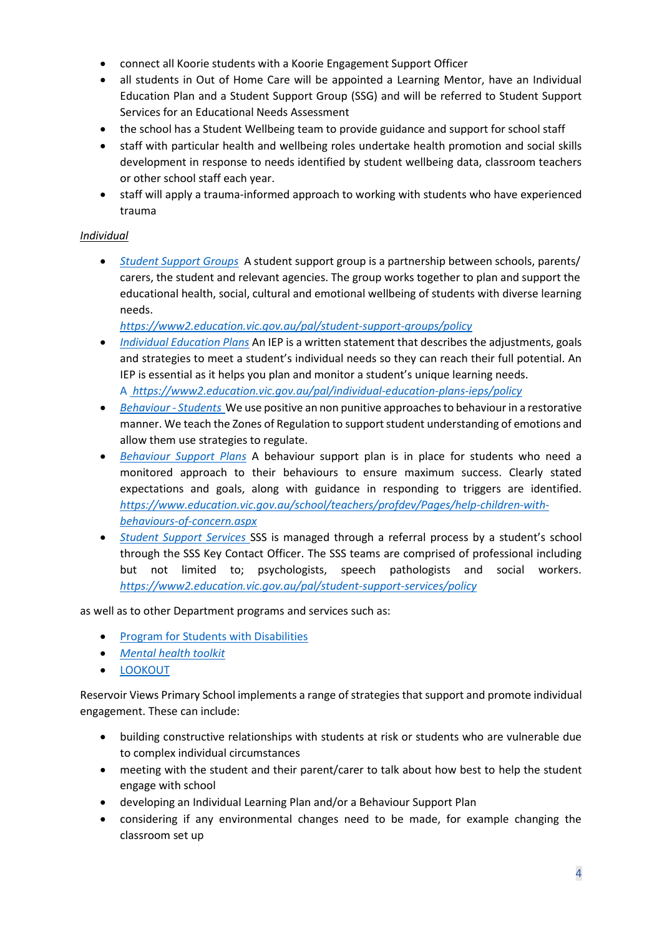- connect all Koorie students with a Koorie Engagement Support Officer
- all students in Out of Home Care will be appointed a Learning Mentor, have an Individual Education Plan and a Student Support Group (SSG) and will be referred to Student Support Services for an Educational Needs Assessment
- the school has a Student Wellbeing team to provide guidance and support for school staff
- staff with particular health and wellbeing roles undertake health promotion and social skills development in response to needs identified by student wellbeing data, classroom teachers or other school staff each year.
- staff will apply a trauma-informed approach to working with students who have experienced trauma

## *Individual*

• *[Student Support Groups](https://www2.education.vic.gov.au/pal/student-support-groups/policy)* A student support group is a partnership between schools, parents/ carers, the student and relevant agencies. The group works together to plan and support the educational health, social, cultural and emotional wellbeing of students with diverse learning needs.

*<https://www2.education.vic.gov.au/pal/student-support-groups/policy>*

- *[Individual Education Plans](https://www2.education.vic.gov.au/pal/individual-education-plans-ieps/policy)* An IEP is a written statement that describes the adjustments, goals and strategies to meet a student's individual needs so they can reach their full potential. An IEP is essential as it helps you plan and monitor a student's unique learning needs. A *https://www2.education.vic.gov.au/pal/individual-education-plans-ieps/policy*
- *[Behaviour -](https://www2.education.vic.gov.au/pal/behaviour-students/policy) Students* We use positive an non punitive approaches to behaviour in a restorative manner. We teach the Zones of Regulation to support student understanding of emotions and allow them use strategies to regulate.
- *[Behaviour](https://www2.education.vic.gov.au/pal/behaviour-students/guidance/6-behaviour-support-plans) Support Plans* A behaviour support plan is in place for students who need a monitored approach to their behaviours to ensure maximum success. Clearly stated expectations and goals, along with guidance in responding to triggers are identified. *https://www.education.vic.gov.au/school/teachers/profdev/Pages/help-children-withbehaviours-of-concern.aspx*
- *[Student Support Services](https://www2.education.vic.gov.au/pal/student-support-services/policy)* SSS is managed through a referral process by a student's school through the SSS Key Contact Officer. The SSS teams are comprised of professional including but not limited to; psychologists, speech pathologists and social workers. *https://www2.education.vic.gov.au/pal/student-support-services/policy*

as well as to other Department programs and services such as:

- [Program for Students with Disabilities](https://www.education.vic.gov.au/school/teachers/learningneeds/Pages/psd.aspx)
- *[Mental health toolkit](https://www.education.vic.gov.au/school/teachers/health/mentalhealth/Pages/mentalhealthtoolkit.aspx)*
- [LOOKOUT](https://www.education.vic.gov.au/about/programs/Pages/lookout.aspx)

Reservoir Views Primary School implements a range of strategies that support and promote individual engagement. These can include:

- building constructive relationships with students at risk or students who are vulnerable due to complex individual circumstances
- meeting with the student and their parent/carer to talk about how best to help the student engage with school
- developing an Individual Learning Plan and/or a Behaviour Support Plan
- considering if any environmental changes need to be made, for example changing the classroom set up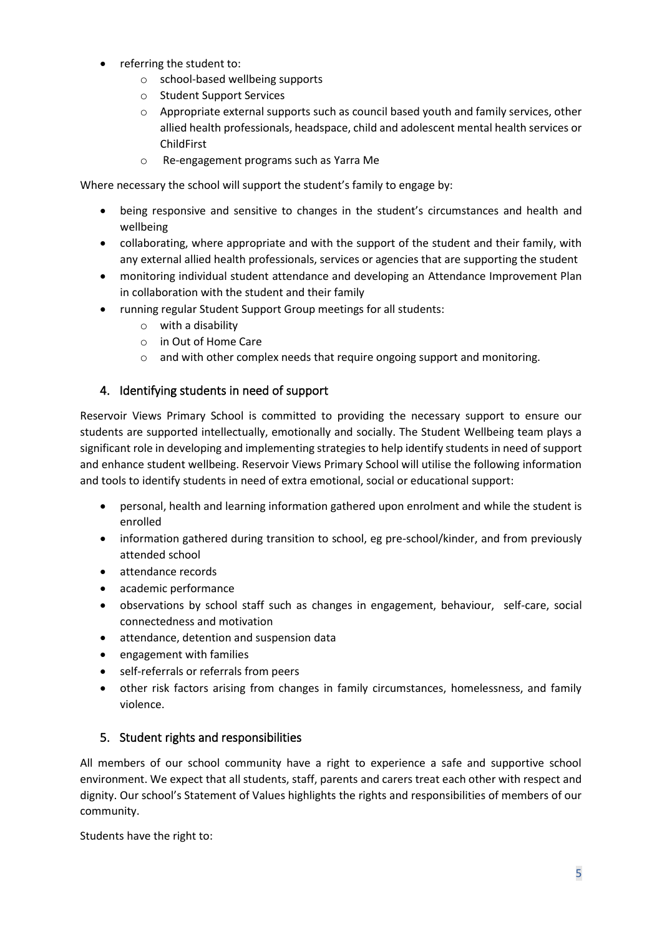- referring the student to:
	- o school-based wellbeing supports
	- o Student Support Services
	- o Appropriate external supports such as council based youth and family services, other allied health professionals, headspace, child and adolescent mental health services or ChildFirst
	- o Re-engagement programs such as Yarra Me

Where necessary the school will support the student's family to engage by:

- being responsive and sensitive to changes in the student's circumstances and health and wellbeing
- collaborating, where appropriate and with the support of the student and their family, with any external allied health professionals, services or agencies that are supporting the student
- monitoring individual student attendance and developing an Attendance Improvement Plan in collaboration with the student and their family
- running regular Student Support Group meetings for all students:
	- o with a disability
	- o in Out of Home Care
	- o and with other complex needs that require ongoing support and monitoring.

## 4. Identifying students in need of support

Reservoir Views Primary School is committed to providing the necessary support to ensure our students are supported intellectually, emotionally and socially. The Student Wellbeing team plays a significant role in developing and implementing strategies to help identify students in need of support and enhance student wellbeing. Reservoir Views Primary School will utilise the following information and tools to identify students in need of extra emotional, social or educational support:

- personal, health and learning information gathered upon enrolment and while the student is enrolled
- information gathered during transition to school, eg pre-school/kinder, and from previously attended school
- attendance records
- academic performance
- observations by school staff such as changes in engagement, behaviour, self-care, social connectedness and motivation
- attendance, detention and suspension data
- engagement with families
- self-referrals or referrals from peers
- other risk factors arising from changes in family circumstances, homelessness, and family violence.

## 5. Student rights and responsibilities

All members of our school community have a right to experience a safe and supportive school environment. We expect that all students, staff, parents and carers treat each other with respect and dignity. Our school's Statement of Values highlights the rights and responsibilities of members of our community.

Students have the right to: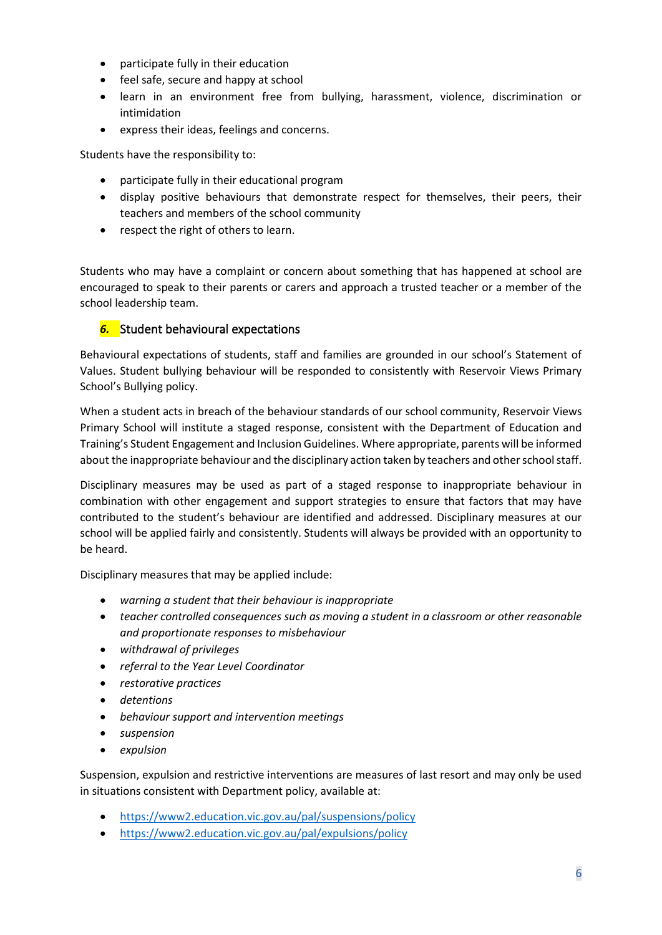- participate fully in their education
- feel safe, secure and happy at school
- learn in an environment free from bullying, harassment, violence, discrimination or intimidation
- express their ideas, feelings and concerns.

Students have the responsibility to:

- participate fully in their educational program
- display positive behaviours that demonstrate respect for themselves, their peers, their teachers and members of the school community
- respect the right of others to learn.

Students who may have a complaint or concern about something that has happened at school are encouraged to speak to their parents or carers and approach a trusted teacher or a member of the school leadership team.

#### *6.* Student behavioural expectations

Behavioural expectations of students, staff and families are grounded in our school's Statement of Values. Student bullying behaviour will be responded to consistently with Reservoir Views Primary School's Bullying policy.

When a student acts in breach of the behaviour standards of our school community, Reservoir Views Primary School will institute a staged response, consistent with the Department of Education and Training's Student Engagement and Inclusion Guidelines. Where appropriate, parents will be informed about the inappropriate behaviour and the disciplinary action taken by teachers and other school staff.

Disciplinary measures may be used as part of a staged response to inappropriate behaviour in combination with other engagement and support strategies to ensure that factors that may have contributed to the student's behaviour are identified and addressed. Disciplinary measures at our school will be applied fairly and consistently. Students will always be provided with an opportunity to be heard.

Disciplinary measures that may be applied include:

- *warning a student that their behaviour is inappropriate*
- *teacher controlled consequences such as moving a student in a classroom or other reasonable and proportionate responses to misbehaviour*
- *withdrawal of privileges*
- *referral to the Year Level Coordinator*
- *restorative practices*
- *detentions*
- *behaviour support and intervention meetings*
- *suspension*
- *expulsion*

Suspension, expulsion and restrictive interventions are measures of last resort and may only be used in situations consistent with Department policy, available at:

- <https://www2.education.vic.gov.au/pal/suspensions/policy>
- <https://www2.education.vic.gov.au/pal/expulsions/policy>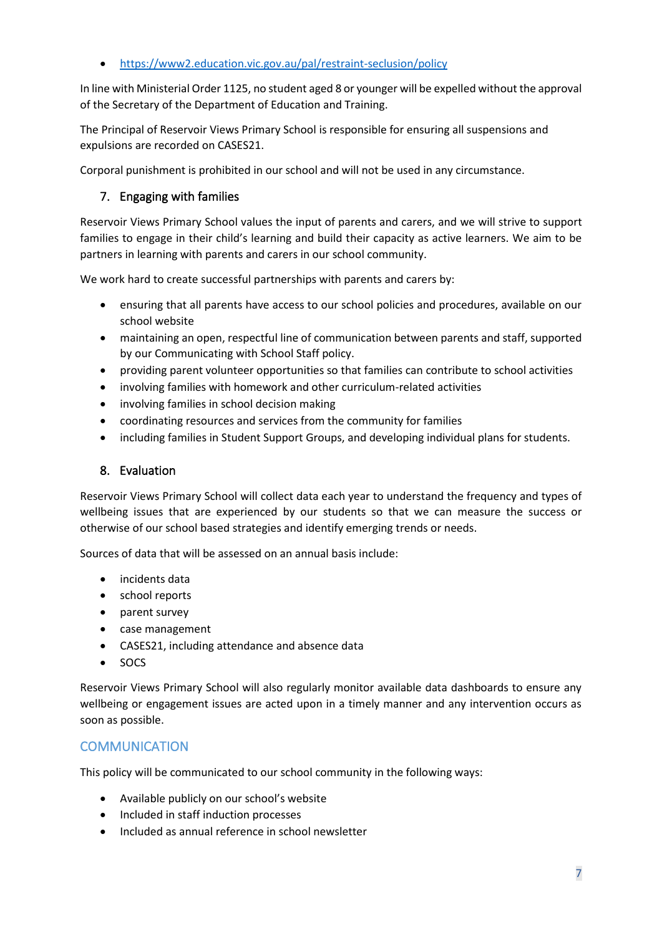• <https://www2.education.vic.gov.au/pal/restraint-seclusion/policy>

In line with Ministerial Order 1125, no student aged 8 or younger will be expelled without the approval of the Secretary of the Department of Education and Training.

The Principal of Reservoir Views Primary School is responsible for ensuring all suspensions and expulsions are recorded on CASES21.

Corporal punishment is prohibited in our school and will not be used in any circumstance.

## 7. Engaging with families

Reservoir Views Primary School values the input of parents and carers, and we will strive to support families to engage in their child's learning and build their capacity as active learners. We aim to be partners in learning with parents and carers in our school community.

We work hard to create successful partnerships with parents and carers by:

- ensuring that all parents have access to our school policies and procedures, available on our school website
- maintaining an open, respectful line of communication between parents and staff, supported by our Communicating with School Staff policy.
- providing parent volunteer opportunities so that families can contribute to school activities
- involving families with homework and other curriculum-related activities
- involving families in school decision making
- coordinating resources and services from the community for families
- including families in Student Support Groups, and developing individual plans for students.

#### 8. Evaluation

Reservoir Views Primary School will collect data each year to understand the frequency and types of wellbeing issues that are experienced by our students so that we can measure the success or otherwise of our school based strategies and identify emerging trends or needs.

Sources of data that will be assessed on an annual basis include:

- incidents data
- school reports
- parent survey
- case management
- CASES21, including attendance and absence data
- SOCS

Reservoir Views Primary School will also regularly monitor available data dashboards to ensure any wellbeing or engagement issues are acted upon in a timely manner and any intervention occurs as soon as possible.

## **COMMUNICATION**

This policy will be communicated to our school community in the following ways:

- Available publicly on our school's website
- Included in staff induction processes
- Included as annual reference in school newsletter